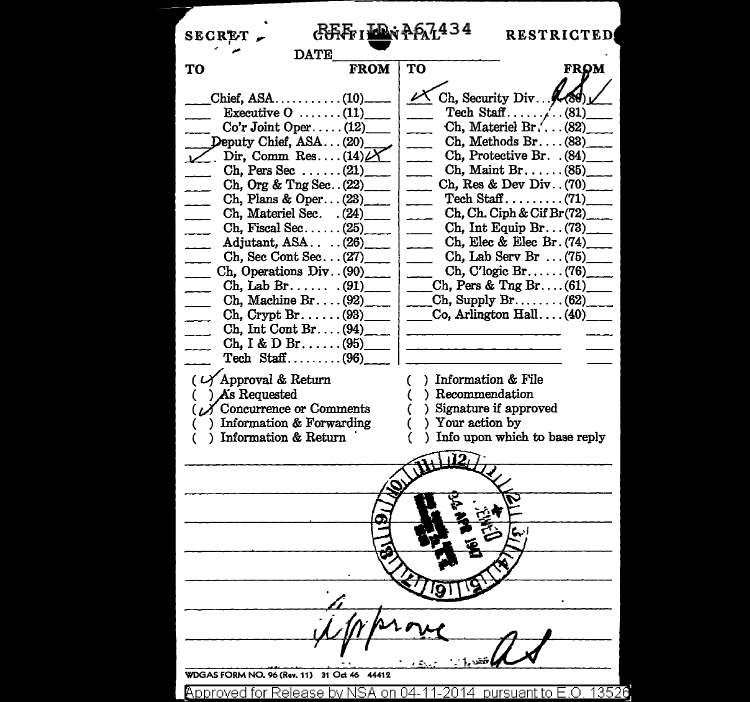| CORFEI LAN PRIL434<br><b>SECRET</b>                                                                                                                                                                                                                                                                                                                                            | <b>RESTRICTED</b>                                                                                                                                                                                                                                                                                                                                                                                                                                          |  |  |  |
|--------------------------------------------------------------------------------------------------------------------------------------------------------------------------------------------------------------------------------------------------------------------------------------------------------------------------------------------------------------------------------|------------------------------------------------------------------------------------------------------------------------------------------------------------------------------------------------------------------------------------------------------------------------------------------------------------------------------------------------------------------------------------------------------------------------------------------------------------|--|--|--|
| <b>DATE</b>                                                                                                                                                                                                                                                                                                                                                                    |                                                                                                                                                                                                                                                                                                                                                                                                                                                            |  |  |  |
| <b>FROM</b><br>TO                                                                                                                                                                                                                                                                                                                                                              | TO<br>FROM                                                                                                                                                                                                                                                                                                                                                                                                                                                 |  |  |  |
| Executive $0 \ldots \ldots (11)$<br>$Co'r$ Joint Oper $(12)$<br>Deputy Chief, ASA(20)<br>Dir, Comm Res $(14)$<br>Ch, Pers Sec $(21)$<br>Ch, Org & Tng Sec. $(22)$<br>Ch, Plans & Oper $(23)$<br>Ch, Materiel Sec. (24)<br>Ch, Fiscal Sec $(25)$<br>Adjutant, $ASA$ $(26)$<br>Ch, Sec Cont Sec $(27)$<br>Ch, Operations Div. $(90)$ <sub>____</sub><br>$\chi$ Ch, Lab Br $(91)$ | Ch, Security Div.  (89)<br>Tech Staff $\ldots$ . (81)<br>Ch, Materiel Br. (82)<br>$Ch, Methods Br. \ldots (83)$<br>Ch, Protective Br. (84)<br>$Ch, Maint Br, \ldots (85)$<br>Ch, Res & Dev Div. $(70)$<br>$\text{Techn } \text{Staff } \dots \dots \dots \dots (71)$<br>Ch, Ch. Ciph & Cif Br(72)<br>Ch, Int Equip Br. $(73)$<br>Ch, Elec & Elec Br. $(74)$<br>$Ch$ , Lab Serv Br $\dots(75)$<br>$Ch, C'logic Br. \ldots$ (76)<br>Ch, Pers & Tng Br $(61)$ |  |  |  |
| Ch. Machine Br. $\ldots$ (92)<br>$\mathrm{Ch}$ , Crypt Br. $\dots$ (93)<br>$Ch, Int Cont Br. \ldots (94)$<br>Ch, I & D Br(95)<br>$\text{Techn } \text{Staff.} \dots \dots \dots \dots (96)$<br>$(\sqrt{\lambda})$ Approval & Return                                                                                                                                            | Ch, Supply Br (62)<br>$\Box$ Co, Arlington Hall (40)<br>) Information & File<br>€                                                                                                                                                                                                                                                                                                                                                                          |  |  |  |
| $)$ As Requested<br>$\mathcal{N}$ Concurrence or Comments<br>) Information & Forwarding<br>) Information & Return                                                                                                                                                                                                                                                              | ) Recommendation<br>) Signature if approved<br>) Your action by<br>) Info upon which to base reply                                                                                                                                                                                                                                                                                                                                                         |  |  |  |
|                                                                                                                                                                                                                                                                                                                                                                                |                                                                                                                                                                                                                                                                                                                                                                                                                                                            |  |  |  |
|                                                                                                                                                                                                                                                                                                                                                                                |                                                                                                                                                                                                                                                                                                                                                                                                                                                            |  |  |  |
|                                                                                                                                                                                                                                                                                                                                                                                |                                                                                                                                                                                                                                                                                                                                                                                                                                                            |  |  |  |
|                                                                                                                                                                                                                                                                                                                                                                                |                                                                                                                                                                                                                                                                                                                                                                                                                                                            |  |  |  |
| WDGAS FORM NO. 96 (Rev. 11) 31 Oct 46<br>44412                                                                                                                                                                                                                                                                                                                                 |                                                                                                                                                                                                                                                                                                                                                                                                                                                            |  |  |  |
| Approved for Release by NSA on 04-                                                                                                                                                                                                                                                                                                                                             | -13526<br><u>pursuant to f</u><br>2014                                                                                                                                                                                                                                                                                                                                                                                                                     |  |  |  |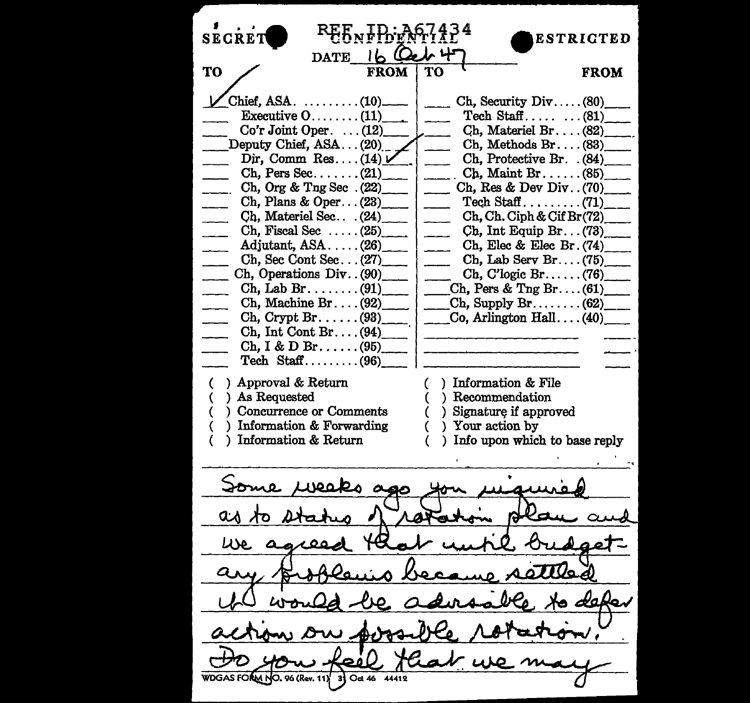**CONFIDENTIAL**<br>DATE IL **Cel 47** SECRE<sub>7</sub> TO FROM TO FROM  $\begin{array}{|c|c|c|c|c|}\n\hline\n\text{Chief,ASA.} & \ldots & \ldots & \ldots & \ldots & \ldots & \text{Ch, Security Div.} \ldots & \text{(80)} \\
\hline\n\text{Execute 0} & \ldots & \ldots & \text{(11)} & \text{Treeh Staff.} \ldots & \ldots & \text{(81)}\n\hline\n\end{array}$  $Co'r Joint Oper.$  .... $(12)$  Ch, Materiel Br.... $(82)$ <br>eputy Chief. ASA... $(20)$  Ch, Methods Br.... $(83)$ \_ Deputy Chief, ASA ... (20).\_ \_ Ch, Methods Br .... (83)\_ *Dir, Comm Res.*...(14)<sup> $\mu$ </sup> Ch, Pers Sec......(21) Ch, Pers Sec........  $(21)$  Ch, Maint Br...... (85)<br>Ch, Org & Tng Sec... (22) Ch, Res & Dev Div... (70) Ch, Org & Tng Sec . (22)\_ \_ Ch, Res & Dev Div .. (70)\_ Ch, Plans & Oper ...  $(23)$ \_\_\_\_ | \_\_\_\_\_ Tech Staff ..........  $(71)$ <br>Ch, Materiel Sec...  $(24)$  Ch, Ch, Ciph & Cif Br(72) Ch, Materiel Sec. . . . (24)\_\_\_\_\_\_ ch, Ch. Ciph & Cif Br(72).<br>Ch. Fiscal Sec. . . . . . (25) ch. Int Equip Br. . . (73) Ch, Fiscal Sec  $\dots$  (25) Ch, Int Equip Br  $\dots$  (73)<br>Adjutant, ASA  $\dots$  (26) Ch, Elec & Elec Br  $(74)$ Adjutant, ASA ..... (26)\_ Ch, Elec & Elec Br. (74)\_ Ch, Sec Cont Sec...  $(27)$  Ch, Lab Serv Br....  $(75)$ <br>Ch, Operations Div..  $(90)$  Ch, C'logic Br..... (76) Ch, Operations Div...  $(90)$  Ch, C'logic Br......  $(76)$ <br>Ch, Lab Br........  $(91)$  Ch, Pers & Tng Br.... (61) Ch, Pers & Tng Br .... (61)<sub>.</sub><br>Ch. Supply Br .... ... (62) Ch, Machine Br.....  $(92)$ <br>Ch, Crypt Br...... (93)  $\text{Co, Arlington Hall} \dots (40)$ Ch, Int Cont Br .... (94)\_· Ch, I & D Br...... $(95)$ Tech  $Stat$ ........ (96) ( ) Approval & Return Information & File ( ) As Requested Recommendation ( ) Concurrence or Comments ) Signature if approved ( ) Information & Forwarding ( ) Your action by ( ) Information & Return ( ) Info upon which to base reply veaks a aλ LISO. Qλ đα  $31$  Oct 46 **AM NO. 96 (Rev. 11)** 44419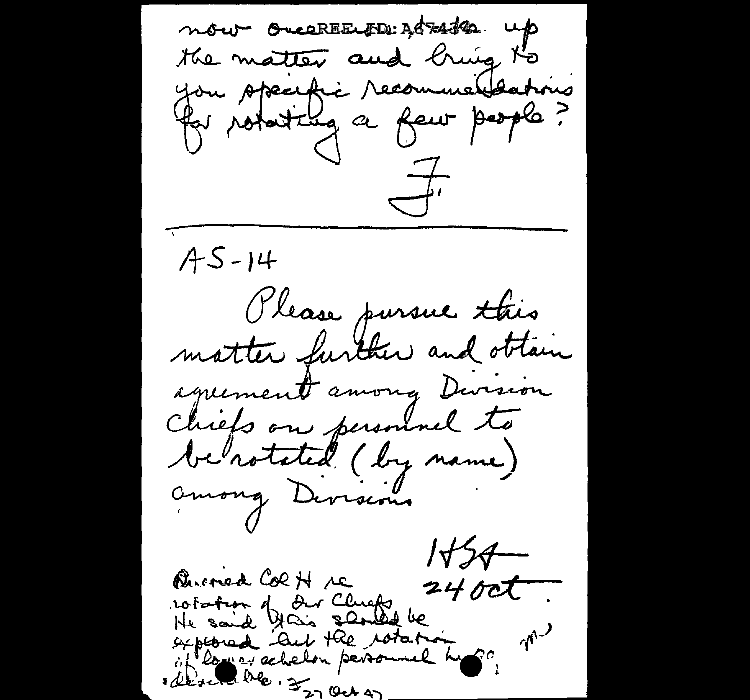now OverREELID: ABRAJER up the matter and bring to you specific recommendations  $\overline{\phantom{a}}$  $A5 - 14$ Olease pursue this matter further and obtain agreement among Dursion Chiefs on personnel to be rotated (by name) among Divisions  $1+\frac{2}{2}$ Burned CORH re  $2400t$ rotation of Our Chiefs be at long a selector personnel his? (1) eller alle. 32 oct as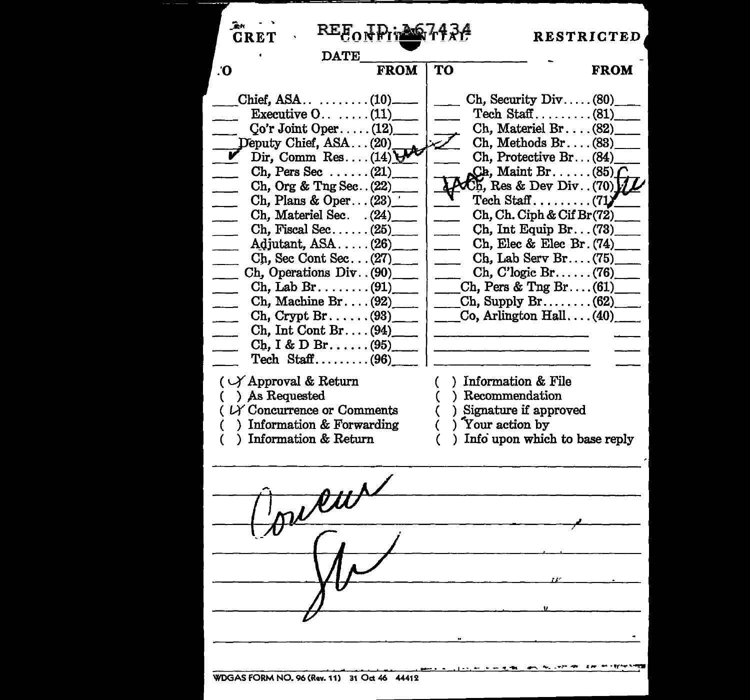| <u>℞ℇ</u> ℥ℴ <del>ℽ</del> ℎℹ <del>℩</del><br><b>CRET</b><br><b>DATE</b>                                                                                                                                                                                                                                                                                                                                                                                                                                                                                                                                                                                                 |    |                                                                                                                                                                                                                                                                                                                                                                                                                                                                                                                                                                                                                                                                | <b>RESTRICTED</b> |
|-------------------------------------------------------------------------------------------------------------------------------------------------------------------------------------------------------------------------------------------------------------------------------------------------------------------------------------------------------------------------------------------------------------------------------------------------------------------------------------------------------------------------------------------------------------------------------------------------------------------------------------------------------------------------|----|----------------------------------------------------------------------------------------------------------------------------------------------------------------------------------------------------------------------------------------------------------------------------------------------------------------------------------------------------------------------------------------------------------------------------------------------------------------------------------------------------------------------------------------------------------------------------------------------------------------------------------------------------------------|-------------------|
| <b>FROM</b><br>О.                                                                                                                                                                                                                                                                                                                                                                                                                                                                                                                                                                                                                                                       | TO |                                                                                                                                                                                                                                                                                                                                                                                                                                                                                                                                                                                                                                                                | <b>FROM</b>       |
| Executive $0 \ldots \ldots (11)$<br>$Co'r Joint Oper. \ldots (12)$<br>Deputy Chief, ASA(20)<br>Dir, Comm Res $(14) \bigvee$<br>Ch, Pers Sec $(21)$<br>Ch, Org & Tng Sec. $(22)$<br>Ch, Plans & Oper $(23)$<br>Ch, Materiel Sec. (24)<br>Ch. Fiscal Sec $(25)$<br>Adjutant, $ASA$ $(26)$<br>Ch. Sec Cont Sec(27)<br>Ch, Operations Div. (90)<br>$\text{Ch}, \text{Lab Br}, \ldots$ (91)<br>Ch, Machine Br $(92)$<br>$\chi$ Ch, Crypt Br(98)<br>$\chi$ Ch, Int Cont Br $(94)$<br>$Ch, I & D Br.$ (95)<br>Tech Staff $(96)$<br>$(\vee)$ Approval & Return<br>( ) As Requested<br>$($ $\nu$ Concurrence or Comments<br>) Information & Forwarding<br>) Information & Return |    | $\text{Ch}$ , Security Div $(80)$<br>Tech Staff $(81)$<br>$Ch$ , Materiel Br $(82)$<br>Ch. Methods $Br. \ldots (83)$<br>Ch, Protective Br (84)<br>$Ch,$ Maint Br. $\dots$ (85)<br>$\operatorname{Ch}$ , Res & Dev Div(70) $\mathcal{V}$<br>$\text{Techn } \text{Staff } \dots \dots \dots \dots$ (71)<br>Ch, Ch. Ciph & Cif Br(72)<br>Ch, Int Equip $Br (73)$<br>Ch, Elec & Elec Br. (74)<br>Ch, Lab Serv Br (75)<br>$Ch, C'logic Br. \ldots (76)$<br>Ch, Pers & Tng Br $(61)$<br>Ch, Supply Br(62)<br>Co, Arlington Hall $(40)$<br>) Information & File<br>) Recommendation<br>) Signature if approved<br>) Your action by<br>) Info upon which to base reply |                   |
| reur                                                                                                                                                                                                                                                                                                                                                                                                                                                                                                                                                                                                                                                                    |    |                                                                                                                                                                                                                                                                                                                                                                                                                                                                                                                                                                                                                                                                |                   |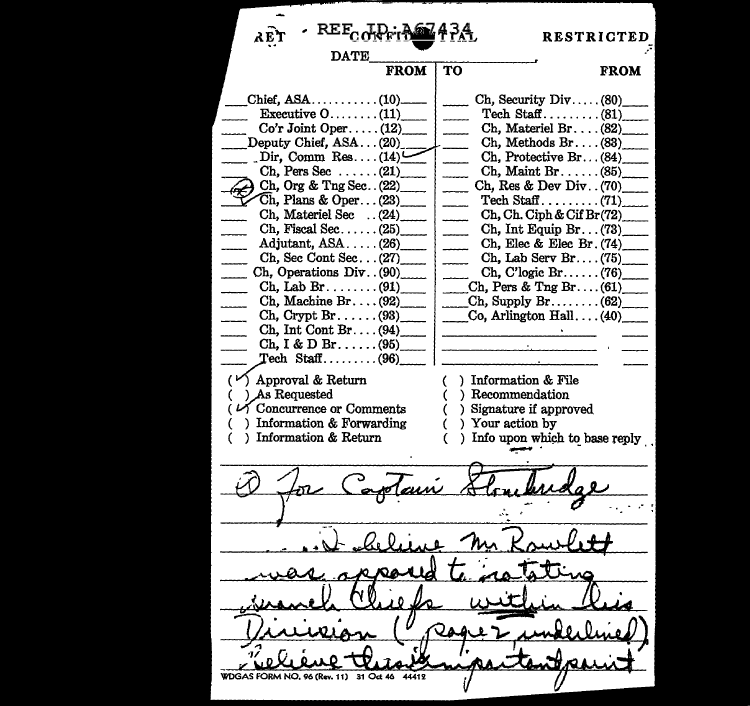**RESTRICTED**  λE **DATE** FROM TO FROM \_ Chief, ASA ........... (10)\_  $Ch.$  Security  $Div. \ldots$  (80) Executive  $0, \ldots, 11$ Tech Staff ......... (81)\_  $Co'r Joint Oper \ldots$ . (12) Ch, Materiel Br....  $(82)$ <br>Ch, Methods Br.... (83) \_ Deputy Chief, ASA ... (20)\_\_ \_\_ Dir, Comm Res .... (14)\_ Ch, Protective Br. . . (84) Dir, Comm Res.... $(14)$ <br>Ch. Pers Sec ...... $(21)$ \_ Ch, Maint Br ...... (85)\_  $Ch.$  Org & Tng Sec.  $(22)$ Ch, Res & Dev Div. . (70)  $~Ch,$  Plans & Oper... (23) Tech Staff  $\dots$ ....... (71) Ch, Ch. Ciph & Cif Br(72)\_ Ch, Materiel Sec .. (24)\_  $Ch.$  Fiscal Sec...... (25) Ch, Int Equip Br ... (73)\_ Adjutant, ASA ..... (26) Ch, Elec & Elec Br. (74)\_ Ch, Sec Cont Sec... (27) Ch, Lab Serv Br.  $(75)$ Ch. Operations Div. . (90) Ch, C'logic Br ...... (76) \_ Ch. Lab Br... $\ldots$ ... (91)  $Ch.$  Pers & Tng Br.... (61)  $Ch$ , Supply  $Br \ldots \ldots$  (62) Ch. Machine Br.  $\dots$  (92) Co, Arlington Hall  $\dots$  (40)  $Ch$ , Crypt Br...... (93)  $Ch, Int Cont Br. \ldots (94)$  $Ch. I & D Br. \ldots$ . (95)  $\mathrm{Tech}\ \ \mathrm{Staff}\ \dots \dots \dots (96)$ (*v*) **Approval & Return** (*v*) **Information & File** (*v*) **As Requested** (*v*) **Recommendation**  $Recommendation$ ) Signature if approved  $\vee$  Concurrence or Comments Information & Forwarding ) Your action by ( ) Information & Return ( Info upon which to base reply WDGAS FORM NO. 96 (Rev. 11)  $31$  $OA$  46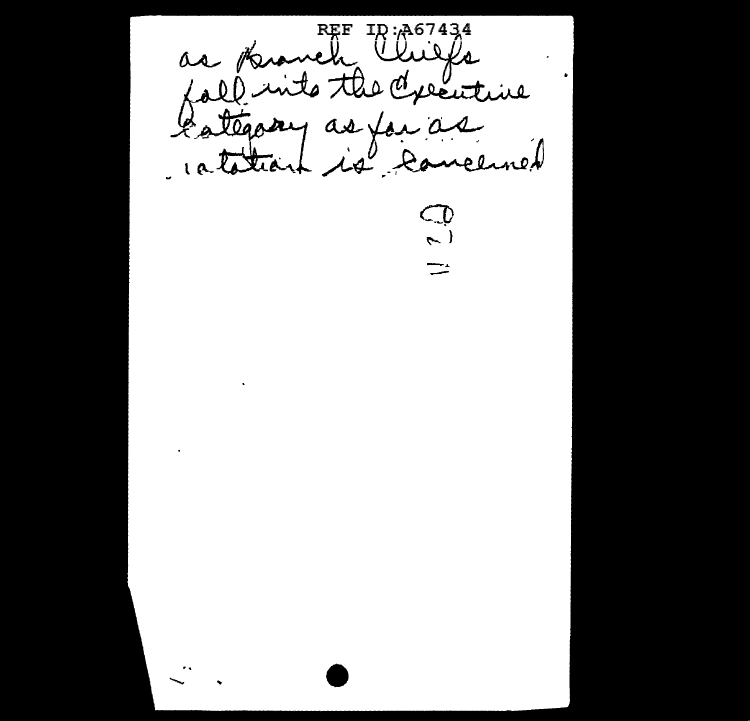REF ID: A67434<br>Lall into the Chiefs  $\bullet$ Catégory as jou as  $\mathbb{D}% _{k}(1)=\mathbb{Z}_{k}^{2k+1}\times\mathbb{Z}_{k}^{2k}$  $\left( \right)$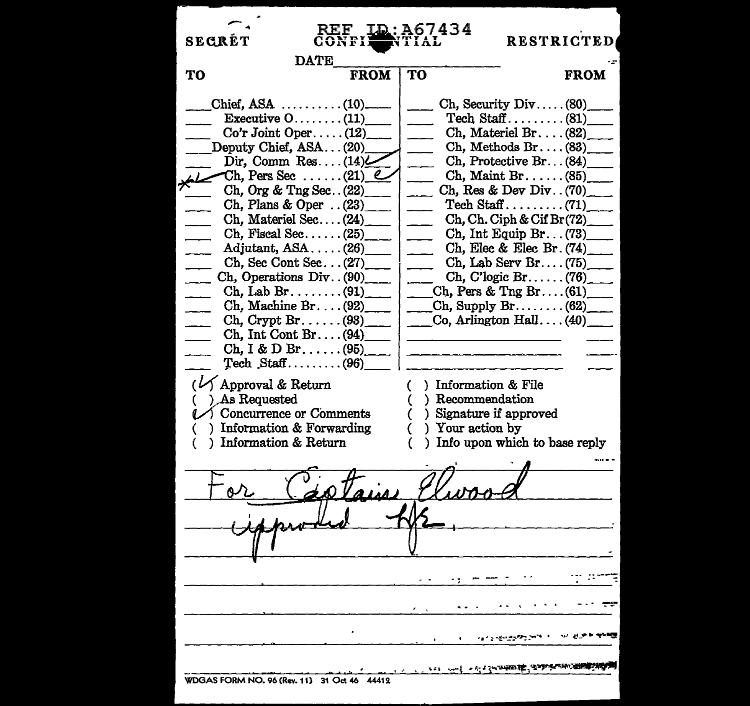| REF<br><b>SECRÉT</b><br>CONFIL<br><b>DATE</b>                                                                                                                                                                                                                                                                                                                                                                                                                                                                                                                                                     | <b>LD:A67434</b><br>RIIAL                                                      | <b>RESTRICTED</b>                                                                                                                                                                                                                                                                                                                                                                                                                                                                                             |
|---------------------------------------------------------------------------------------------------------------------------------------------------------------------------------------------------------------------------------------------------------------------------------------------------------------------------------------------------------------------------------------------------------------------------------------------------------------------------------------------------------------------------------------------------------------------------------------------------|--------------------------------------------------------------------------------|---------------------------------------------------------------------------------------------------------------------------------------------------------------------------------------------------------------------------------------------------------------------------------------------------------------------------------------------------------------------------------------------------------------------------------------------------------------------------------------------------------------|
| TО<br><b>FROM</b>                                                                                                                                                                                                                                                                                                                                                                                                                                                                                                                                                                                 | TО                                                                             | <b>FROM</b>                                                                                                                                                                                                                                                                                                                                                                                                                                                                                                   |
| Chief, ASA $\ldots \ldots \ldots (10)$<br>Executive $0 \ldots \ldots (11)$<br>$Co'r$ Joint Oper(12)<br>Deputy Chief, ASA(20)<br>Dir, Comm Res(14)<br>$\sim$ Ch, Pers Sec(21) $\ell$<br>Ch, Org & Tng Sec. $(22)$<br>Ch, Plans & Oper $\ldots$ (23)<br>$Ch$ , Materiel Sec $(24)$<br>Ch, Fiscal Sec $(25)$<br>Adjutant, $ASA$ $(26)$<br>Ch, Sec Cont Sec $(27)$<br>Ch, Operations Div. (90)<br>$\mathrm{Ch}$ , Lab Br(91)<br>$\chi$ Ch, Crypt Br(98)<br>$Ch, Int Cont Br. \ldots (94)$<br>$\rm Ch, I & D Br. \ldots (95)$<br>$\text{Techn.}$ Staff (96)<br>$(\sqrt{\phantom{a}}$ Approval & Return | ) Information & File<br>(                                                      | Ch, Security Div $(80)$<br>Tech Staff $(81)$<br>$Ch, Material Br. \ldots (82)$<br>$Ch, Methods Br. \ldots (83)$<br>Ch, Protective Br(84)<br>$Ch,$ Maint Br(85)<br>Ch, Res & Dev Div. $(70)$<br>Tech Staff $(71)$<br>$Ch$ , $Ch$ . $Ciph$ & $Cif Br(72)$<br>Ch, Int Equip Br. $(73)$<br>Ch, Elec & Elec Br. $(74)$<br>Ch. Lab Serv Br $(75)$<br>Ch, C' $logic Br. \ldots$ . (76)<br>$C_{\rm L}$ Ch, Pers & Tng Br $(61)$<br>Ch, Supply Br(62)<br>$\frac{1}{\sqrt{1-\frac{1}{2}}\cos A + \sin A + \sin B}$ (40) |
| ) As Requested<br>$\mathcal{U}$ Concurrence or Comments<br>) Information & Forwarding<br>) Information & Return                                                                                                                                                                                                                                                                                                                                                                                                                                                                                   | ) Recommendation<br>(<br>) Signature if approved<br>€<br>) Your action by<br>€ | ) Info upon which to base reply                                                                                                                                                                                                                                                                                                                                                                                                                                                                               |
|                                                                                                                                                                                                                                                                                                                                                                                                                                                                                                                                                                                                   |                                                                                |                                                                                                                                                                                                                                                                                                                                                                                                                                                                                                               |
|                                                                                                                                                                                                                                                                                                                                                                                                                                                                                                                                                                                                   |                                                                                |                                                                                                                                                                                                                                                                                                                                                                                                                                                                                                               |
| WDGAS FORM NO. 96 (Rev. 11) 31 Oct 46 44412                                                                                                                                                                                                                                                                                                                                                                                                                                                                                                                                                       | $\sim$ $\sim$ $\sim$ $\sim$ $\sim$ $\sim$ $\sim$<br>است انتخابی <u>م</u> ی     |                                                                                                                                                                                                                                                                                                                                                                                                                                                                                                               |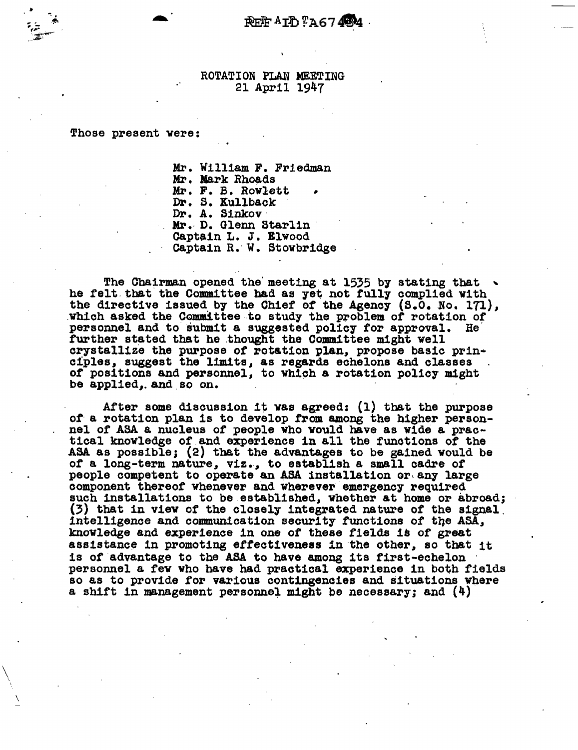## ROTATION PLAN MEETING 21 April 1947

Those present were:

 $\bigwedge$ 

\

Mr. William F. Friedman Mr. Mark Rhoads Mr. F. B. Rowlett<br>Dr. S. Kullback Dr. A. S1nkov· Mr. D. Glenn Starlin<br>Captain L. J. Elwood Captain R. W. Stowbridge

The Chairman opened the meeting at 1535 by stating that  $\sim$ he felt that the Committee had as yet not fully complied with the directive issued by the Chief of the Agency (S.O. No. 171), which asked the Committee to study the problem of rotation of which asked the Committee to study the problem of rotation of personnel and to submit a suggested policy for approval. He further stated that he thought the Committee might well crystallize the purpose of rotation plan, propose basic principles, suggest the limits, as regards echelons and classes of positions and personnel, to which a rotation policy might be applied,. and.so on.

After some discussion it was agreed: (1) that the purpose<br>of a rotation plan is to develop from among the higher person-<br>nel of ASA a nucleus of people who would have as wide a prac-<br>tical knowledge of and experience in al ASA as possible; {2) that the advantages to be gained would be of a long-term nature, viz., to establish a small cadre of people competent to operate an ASA installation or any large component thereof whenever and wherever emergency required such installations to be established, whether at home or abroad;<br>(3) that in view of the closely integrated nature of the signal intelligence and communication security functions of the ASA, knowledge and experience in one of these fields is *ot* great assistance in promoting effectiveness in the other, so that it is of advantage to the ASA to have among its first-echelon ' personnel a few who have had practical experience in both fields so as to provide for various contingencies and situations wnere a shift in management personnei might be necessary; and (4)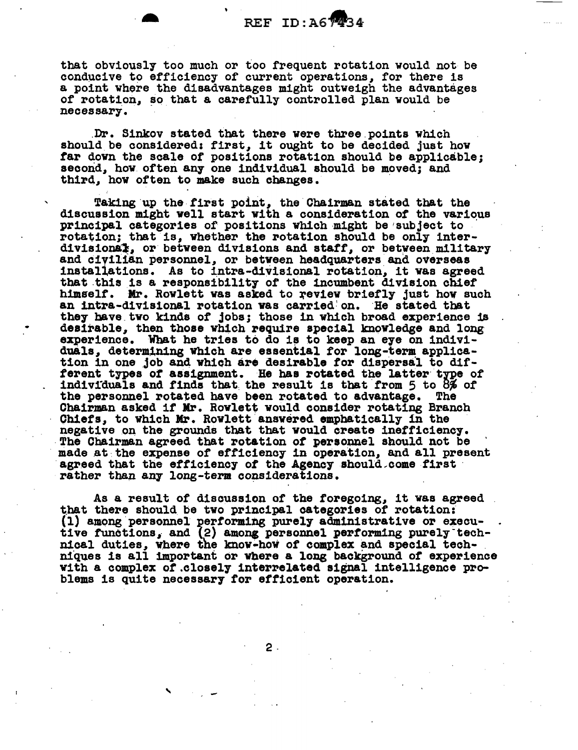that obviously too much or too frequent rotation would not be conducive to efficiency of current operations, for there is a point where the disadvantages might outweigh the advantages of rotation, so that a carefully controlled plan would be necessary •

. Dr. Sinkov stated that there were three.points which should be considered: first, it ought to be decided just how far down the scale of positions rotation should be applicable; second, how often any one individual should be moved; and third, how often to make such changes.

Taking up the first point, the Chairman stated that the discussion might well start vith a consideration of the various principal categories of positions which might be 'subject to rotation; that is, whether the rotation should be only inter-<br>divisional, or between divisions and staff, or between military and civilian personnel, or between headquarters and overseas installations. As to intra-divisional rotation, it was agreed that this is a responsibility of the incumbent division chief himself. Mr. Rowlett was asked to review briefly just how such an intra-divisional rotation was carried' on. He stated that they have two kinds of jobs; those in which broad experience is desirable, then those which require special knowledge and long experience. What he tries to do is to keep an eye on individuals, determining which are essential for long-term applica-<br>tion in one job and which are desirable for dispersal to different types of assignment. He has rotated the latter type of individuals and finds that the result is that from 5 to  $8\%$  of the personnel rotated have been rotated to advantage. The the personnel rotated have been rotated to advantage. Chairman asked it Kr. Rowlett would consider rotating Branch Ohiets, to which Mr. Rowlett answered emphatically in the negative on the grounds that that would create inefficiency. The Chairman agreed that rotation of personnel should not be made at the expense of efficiency in operation, and all present agreed that the efficiency of the Agency should~come first rather than any long-term considerations.

As a result of discussion of the foregoing, it was agreed that there should be two principal categories of rotation: (1) among personnel performing purely administrative or execu-<br>tive functions, and (2) among personnel performing purely technical duties, where the know-how of complex and special tech-<br>niques is all important or where a long background of experience<br>with a complex of closely interrelated signal intelligence pro-<br>blems is quite necessary for ef

2-

'